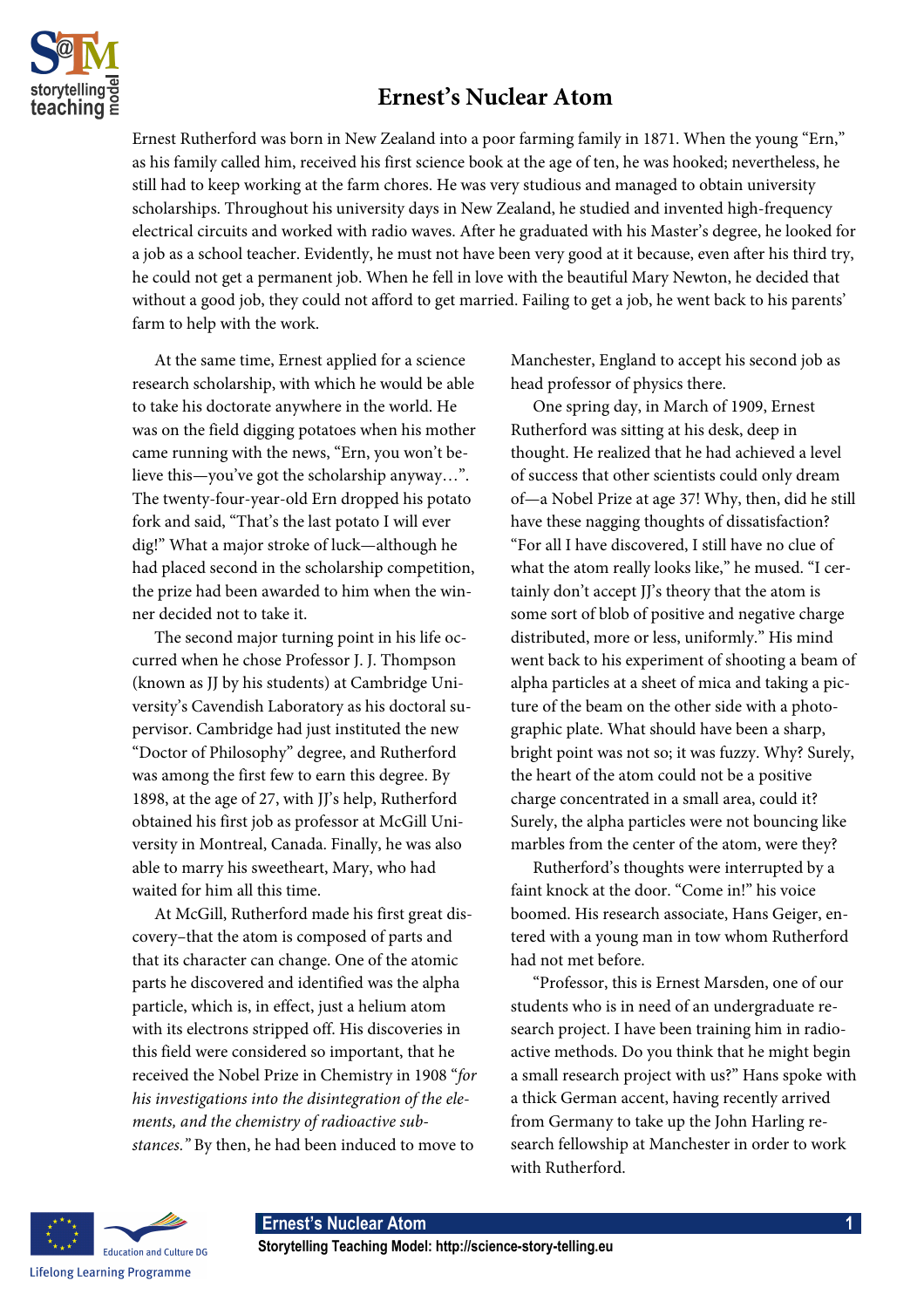

## **Ernest's Nuclear Atom**

Ernest Rutherford was born in New Zealand into a poor farming family in 1871. When the young "Ern," as his family called him, received his first science book at the age of ten, he was hooked; nevertheless, he still had to keep working at the farm chores. He was very studious and managed to obtain university scholarships. Throughout his university days in New Zealand, he studied and invented high-frequency electrical circuits and worked with radio waves. After he graduated with his Master's degree, he looked for a job as a school teacher. Evidently, he must not have been very good at it because, even after his third try, he could not get a permanent job. When he fell in love with the beautiful Mary Newton, he decided that without a good job, they could not afford to get married. Failing to get a job, he went back to his parents' farm to help with the work.

At the same time, Ernest applied for a science research scholarship, with which he would be able to take his doctorate anywhere in the world. He was on the field digging potatoes when his mother came running with the news, "Ern, you won't believe this—you've got the scholarship anyway…". The twenty-four-year-old Ern dropped his potato fork and said, "That's the last potato I will ever dig!" What a major stroke of luck—although he had placed second in the scholarship competition, the prize had been awarded to him when the winner decided not to take it.

The second major turning point in his life occurred when he chose Professor J. J. Thompson (known as JJ by his students) at Cambridge University's Cavendish Laboratory as his doctoral supervisor. Cambridge had just instituted the new "Doctor of Philosophy" degree, and Rutherford was among the first few to earn this degree. By 1898, at the age of 27, with JJ's help, Rutherford obtained his first job as professor at McGill University in Montreal, Canada. Finally, he was also able to marry his sweetheart, Mary, who had waited for him all this time.

At McGill, Rutherford made his first great discovery–that the atom is composed of parts and that its character can change. One of the atomic parts he discovered and identified was the alpha particle, which is, in effect, just a helium atom with its electrons stripped off. His discoveries in this field were considered so important, that he received the Nobel Prize in Chemistry in 1908 "*for his investigations into the disintegration of the elements, and the chemistry of radioactive substances."* By then, he had been induced to move to

Manchester, England to accept his second job as head professor of physics there.

One spring day, in March of 1909, Ernest Rutherford was sitting at his desk, deep in thought. He realized that he had achieved a level of success that other scientists could only dream of—a Nobel Prize at age 37! Why, then, did he still have these nagging thoughts of dissatisfaction? "For all I have discovered, I still have no clue of what the atom really looks like," he mused. "I certainly don't accept JJ's theory that the atom is some sort of blob of positive and negative charge distributed, more or less, uniformly." His mind went back to his experiment of shooting a beam of alpha particles at a sheet of mica and taking a picture of the beam on the other side with a photographic plate. What should have been a sharp, bright point was not so; it was fuzzy. Why? Surely, the heart of the atom could not be a positive charge concentrated in a small area, could it? Surely, the alpha particles were not bouncing like marbles from the center of the atom, were they?

Rutherford's thoughts were interrupted by a faint knock at the door. "Come in!" his voice boomed. His research associate, Hans Geiger, entered with a young man in tow whom Rutherford had not met before.

"Professor, this is Ernest Marsden, one of our students who is in need of an undergraduate research project. I have been training him in radioactive methods. Do you think that he might begin a small research project with us?" Hans spoke with a thick German accent, having recently arrived from Germany to take up the John Harling research fellowship at Manchester in order to work with Rutherford.

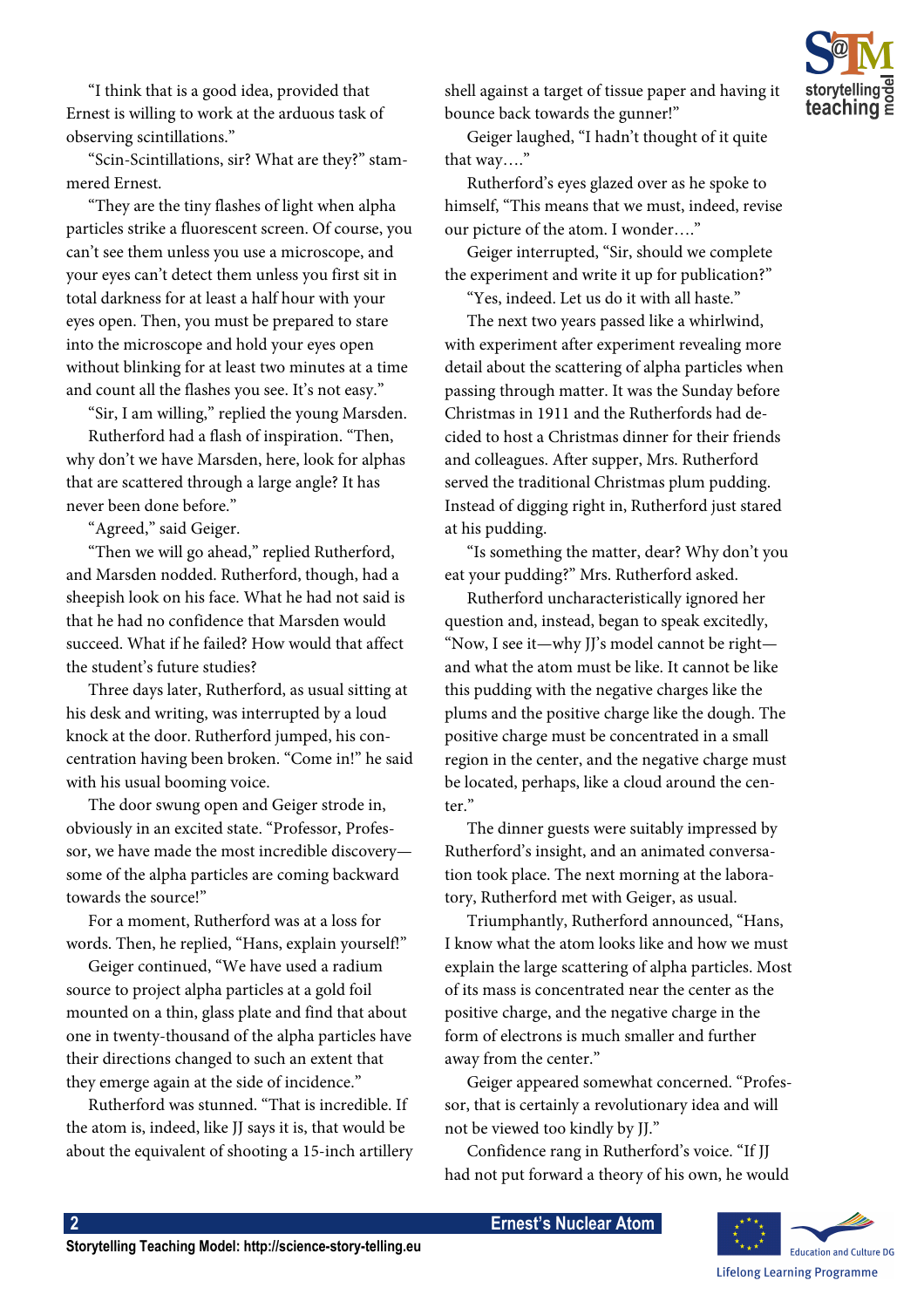

"I think that is a good idea, provided that Ernest is willing to work at the arduous task of observing scintillations."

"Scin-Scintillations, sir? What are they?" stammered Ernest.

"They are the tiny flashes of light when alpha particles strike a fluorescent screen. Of course, you can't see them unless you use a microscope, and your eyes can't detect them unless you first sit in total darkness for at least a half hour with your eyes open. Then, you must be prepared to stare into the microscope and hold your eyes open without blinking for at least two minutes at a time and count all the flashes you see. It's not easy."

"Sir, I am willing," replied the young Marsden.

Rutherford had a flash of inspiration. "Then, why don't we have Marsden, here, look for alphas that are scattered through a large angle? It has never been done before."

"Agreed," said Geiger.

"Then we will go ahead," replied Rutherford, and Marsden nodded. Rutherford, though, had a sheepish look on his face. What he had not said is that he had no confidence that Marsden would succeed. What if he failed? How would that affect the student's future studies?

Three days later, Rutherford, as usual sitting at his desk and writing, was interrupted by a loud knock at the door. Rutherford jumped, his concentration having been broken. "Come in!" he said with his usual booming voice.

The door swung open and Geiger strode in, obviously in an excited state. "Professor, Professor, we have made the most incredible discovery some of the alpha particles are coming backward towards the source!"

For a moment, Rutherford was at a loss for words. Then, he replied, "Hans, explain yourself!"

Geiger continued, "We have used a radium source to project alpha particles at a gold foil mounted on a thin, glass plate and find that about one in twenty-thousand of the alpha particles have their directions changed to such an extent that they emerge again at the side of incidence."

Rutherford was stunned. "That is incredible. If the atom is, indeed, like JJ says it is, that would be about the equivalent of shooting a 15-inch artillery shell against a target of tissue paper and having it bounce back towards the gunner!"

Geiger laughed, "I hadn't thought of it quite that way…."

Rutherford's eyes glazed over as he spoke to himself, "This means that we must, indeed, revise our picture of the atom. I wonder…."

Geiger interrupted, "Sir, should we complete the experiment and write it up for publication?"

"Yes, indeed. Let us do it with all haste."

The next two years passed like a whirlwind, with experiment after experiment revealing more detail about the scattering of alpha particles when passing through matter. It was the Sunday before Christmas in 1911 and the Rutherfords had decided to host a Christmas dinner for their friends and colleagues. After supper, Mrs. Rutherford served the traditional Christmas plum pudding. Instead of digging right in, Rutherford just stared at his pudding.

"Is something the matter, dear? Why don't you eat your pudding?" Mrs. Rutherford asked.

Rutherford uncharacteristically ignored her question and, instead, began to speak excitedly, "Now, I see it—why JJ's model cannot be right and what the atom must be like. It cannot be like this pudding with the negative charges like the plums and the positive charge like the dough. The positive charge must be concentrated in a small region in the center, and the negative charge must be located, perhaps, like a cloud around the center."

The dinner guests were suitably impressed by Rutherford's insight, and an animated conversation took place. The next morning at the laboratory, Rutherford met with Geiger, as usual.

Triumphantly, Rutherford announced, "Hans, I know what the atom looks like and how we must explain the large scattering of alpha particles. Most of its mass is concentrated near the center as the positive charge, and the negative charge in the form of electrons is much smaller and further away from the center."

Geiger appeared somewhat concerned. "Professor, that is certainly a revolutionary idea and will not be viewed too kindly by JJ."

Confidence rang in Rutherford's voice. "If JJ had not put forward a theory of his own, he would

 **2 Ernest's Nuclear Atom** 

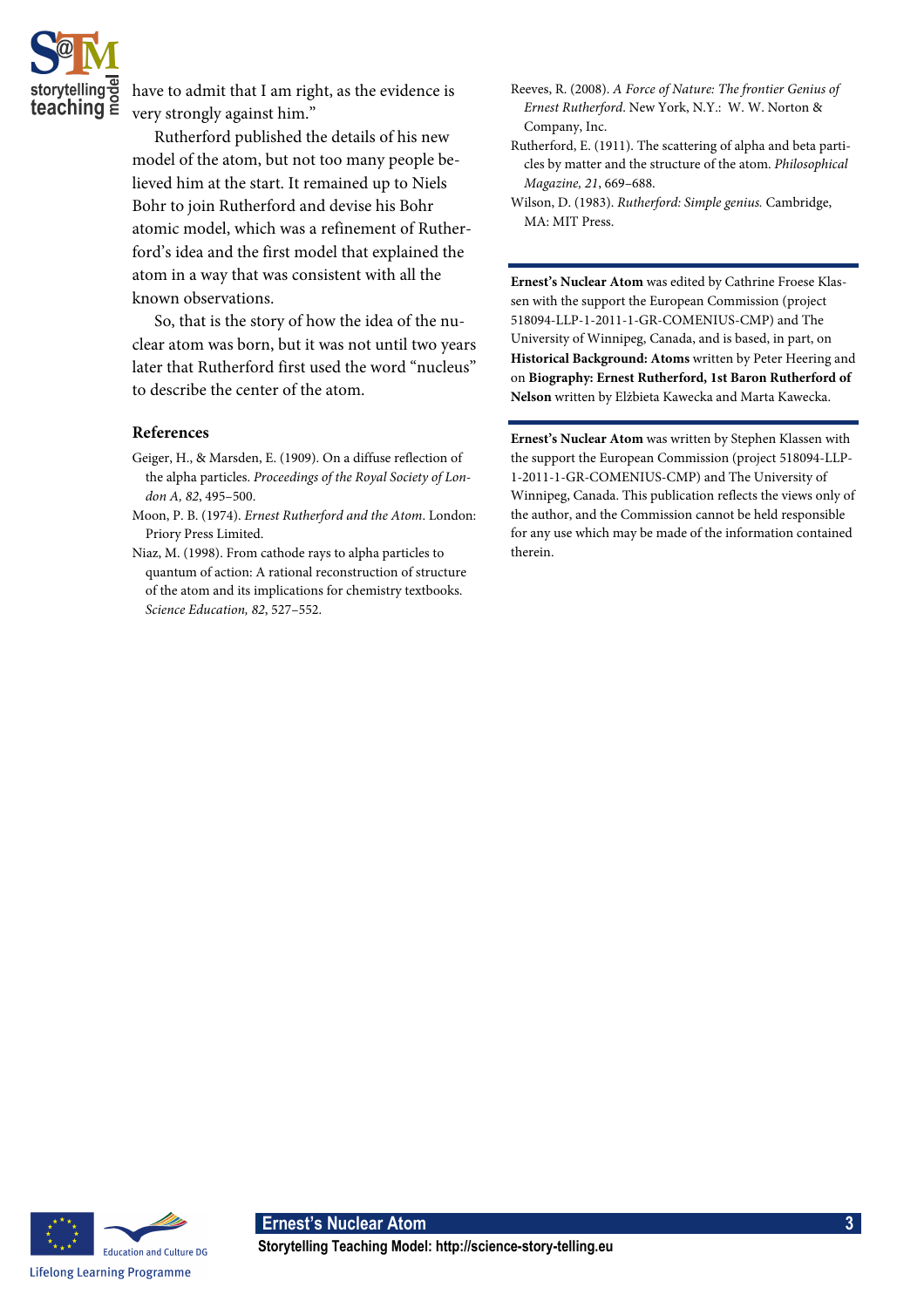

have to admit that I am right, as the evidence is very strongly against him."

Rutherford published the details of his new model of the atom, but not too many people believed him at the start. It remained up to Niels Bohr to join Rutherford and devise his Bohr atomic model, which was a refinement of Rutherford's idea and the first model that explained the atom in a way that was consistent with all the known observations.

So, that is the story of how the idea of the nuclear atom was born, but it was not until two years later that Rutherford first used the word "nucleus" to describe the center of the atom.

## **References**

- Geiger, H., & Marsden, E. (1909). On a diffuse reflection of the alpha particles. *Proceedings of the Royal Society of London A, 82*, 495–500.
- Moon, P. B. (1974). *Ernest Rutherford and the Atom*. London: Priory Press Limited.
- Niaz, M. (1998). From cathode rays to alpha particles to quantum of action: A rational reconstruction of structure of the atom and its implications for chemistry textbooks. *Science Education, 82*, 527–552.
- Reeves, R. (2008). *A Force of Nature: The frontier Genius of Ernest Rutherford*. New York, N.Y.: W. W. Norton & Company, Inc.
- Rutherford, E. (1911). The scattering of alpha and beta particles by matter and the structure of the atom. *Philosophical Magazine, 21*, 669–688.
- Wilson, D. (1983). *Rutherford: Simple genius.* Cambridge, MA: MIT Press.

**Ernest's Nuclear Atom** was edited by Cathrine Froese Klassen with the support the European Commission (project 518094-LLP-1-2011-1-GR-COMENIUS-CMP) and The University of Winnipeg, Canada, and is based, in part, on **Historical Background: Atoms** written by Peter Heering and on **Biography: Ernest Rutherford, 1st Baron Rutherford of Nelson** written by Elżbieta Kawecka and Marta Kawecka.

**Ernest's Nuclear Atom** was written by Stephen Klassen with the support the European Commission (project 518094-LLP-1-2011-1-GR-COMENIUS-CMP) and The University of Winnipeg, Canada. This publication reflects the views only of the author, and the Commission cannot be held responsible for any use which may be made of the information contained therein.